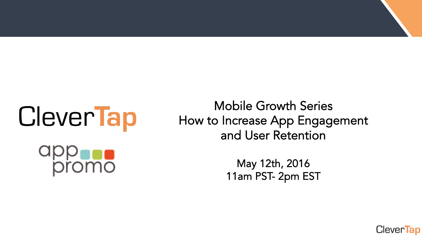# CleverTap  $\overline{\text{m}}$ o

#### Mobile Growth Series How to Increase App Engagement and User Retention

May 12th, 2016 11am PST- 2pm EST

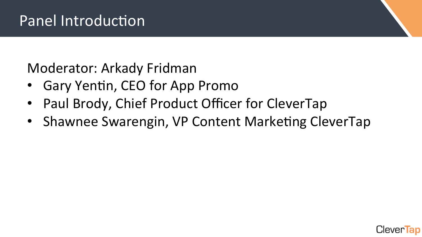Moderator: Arkady Fridman

- Gary Yentin, CEO for App Promo
- Paul Brody, Chief Product Officer for CleverTap
- Shawnee Swarengin, VP Content Marketing CleverTap

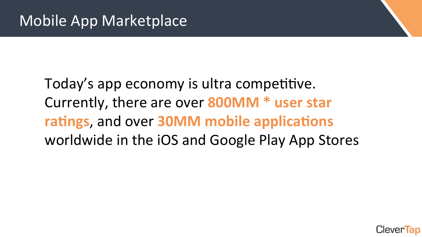## Today's app economy is ultra competitive. Currently, there are over **800MM** \* user star **ratings**, and over **30MM** mobile applications worldwide in the iOS and Google Play App Stores

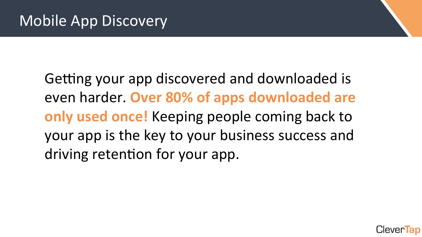Getting your app discovered and downloaded is even harder. Over 80% of apps downloaded are **only used once!** Keeping people coming back to your app is the key to your business success and driving retention for your app.

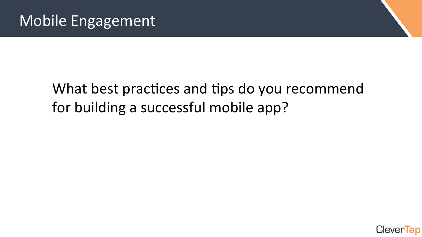### What best practices and tips do you recommend for building a successful mobile app?

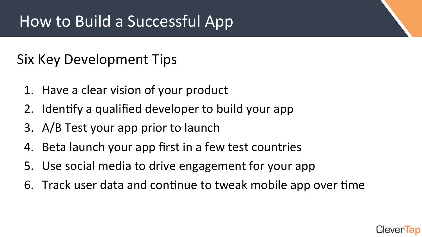#### Six Key Development Tips

- 1. Have a clear vision of your product
- 2. Identify a qualified developer to build your app
- 3. A/B Test your app prior to launch
- 4. Beta launch your app first in a few test countries
- 5. Use social media to drive engagement for your app
- 6. Track user data and continue to tweak mobile app over time

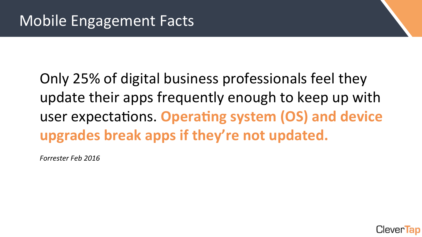## Only 25% of digital business professionals feel they update their apps frequently enough to keep up with user expectations. Operating system (OS) and device upgrades break apps if they're not updated.

*Forrester Feb 2016* 

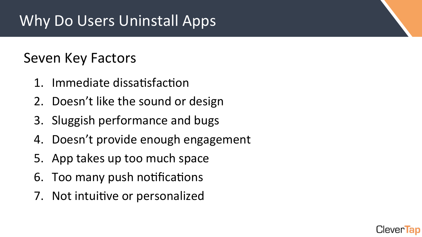## Why Do Users Uninstall Apps

#### Seven Key Factors

- 1. Immediate dissatisfaction
- 2. Doesn't like the sound or design
- 3. Sluggish performance and bugs
- 4. Doesn't provide enough engagement
- 5. App takes up too much space
- 6. Too many push notifications
- 7. Not intuitive or personalized

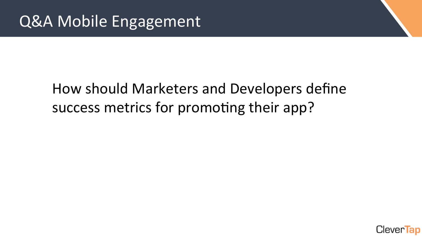#### How should Marketers and Developers define success metrics for promoting their app?

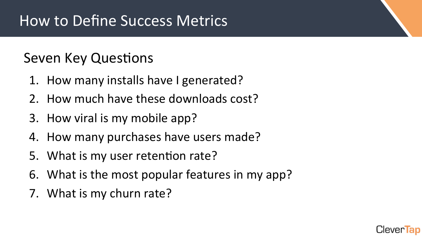#### Seven Key Questions

- 1. How many installs have I generated?
- 2. How much have these downloads cost?
- 3. How viral is my mobile app?
- 4. How many purchases have users made?
- 5. What is my user retention rate?
- 6. What is the most popular features in my app?
- 7. What is my churn rate?

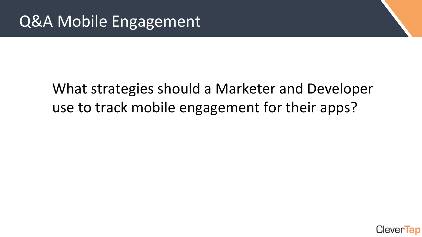#### What strategies should a Marketer and Developer use to track mobile engagement for their apps?

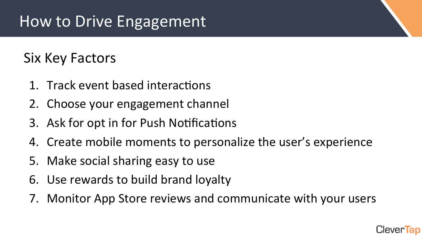#### Six Key Factors

- 1. Track event based interactions
- 2. Choose your engagement channel
- 3. Ask for opt in for Push Notifications
- 4. Create mobile moments to personalize the user's experience
- 5. Make social sharing easy to use
- 6. Use rewards to build brand loyalty
- 7. Monitor App Store reviews and communicate with your users

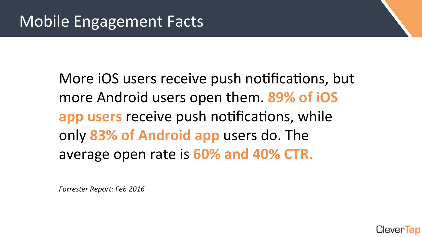More iOS users receive push notifications, but more Android users open them. 89% of iOS **app users** receive push notifications, while only 83% of Android app users do. The average open rate is **60% and 40% CTR.** 

*Forrester Report: Feb 2016* 

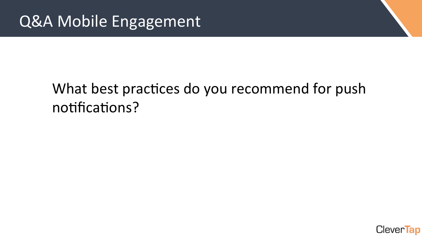### What best practices do you recommend for push notifications?

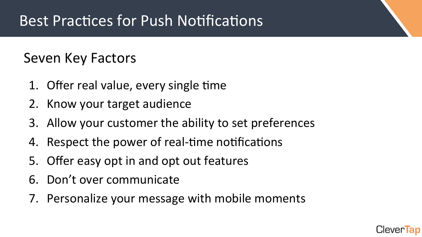#### Seven Key Factors

- 1. Offer real value, every single time  $\overline{f}$
- 2. Know your target audience
- 3. Allow your customer the ability to set preferences
- 4. Respect the power of real-time notifications
- 5. Offer easy opt in and opt out features
- 6. Don't over communicate
- 7. Personalize your message with mobile moments

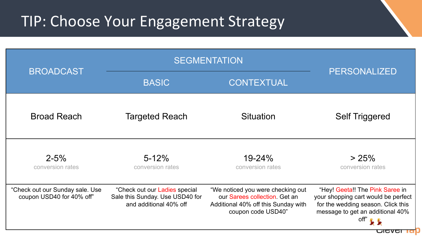#### TIP: Choose Your Engagement Strategy

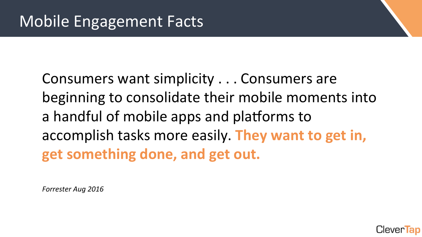Consumers want simplicity . . . Consumers are beginning to consolidate their mobile moments into a handful of mobile apps and platforms to accomplish tasks more easily. **They want to get in, get something done, and get out.** 

*Forrester Aug 2016* 

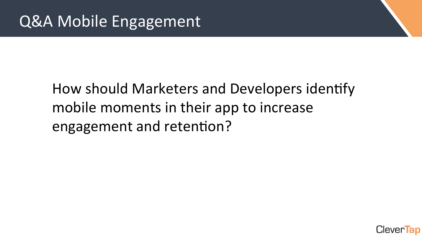### How should Marketers and Developers identify mobile moments in their app to increase engagement and retention?

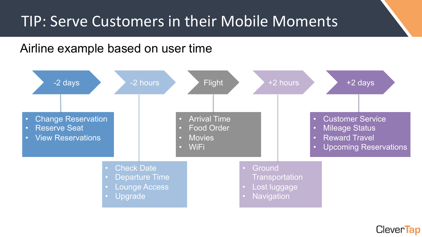#### TIP: Serve Customers in their Mobile Moments

#### Airline example based on user time



Clever**Tap**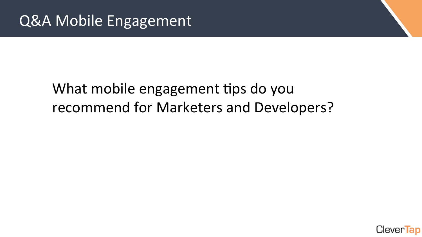#### What mobile engagement tips do you recommend for Marketers and Developers?

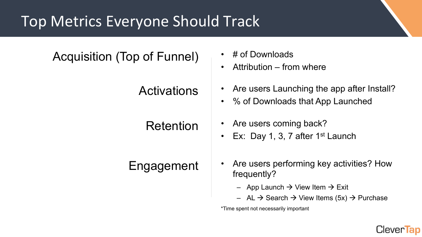### Top Metrics Everyone Should Track

| <b>Acquisition (Top of Funnel)</b> | # of Downloads<br>Attribution – from where<br>$\bullet$                                                                                     |
|------------------------------------|---------------------------------------------------------------------------------------------------------------------------------------------|
| <b>Activations</b>                 | • Are users Launching the app after Install?<br>• % of Downloads that App Launched                                                          |
| Retention                          | Are users coming back?<br>$\bullet$<br>Ex: Day 1, 3, 7 after $1st$ Launch<br>$\bullet$                                                      |
| Engagement                         | Are users performing key activities? How<br>$\bullet$<br>frequently?                                                                        |
|                                    | - App Launch $\rightarrow$ View Item $\rightarrow$ Exit<br>$-$ AL $\rightarrow$ Search $\rightarrow$ View Items (5x) $\rightarrow$ Purchase |

\*Time spent not necessarily important

#### CleverTap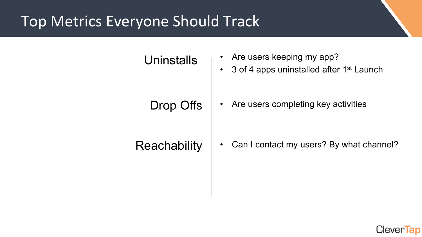### Top Metrics Everyone Should Track

## Uninstalls • Are users keeping my app? • 3 of 4 apps uninstalled after 1<sup>st</sup> Launch Drop Offs • Are users completing key activities Reachability | • Can I contact my users? By what channel?

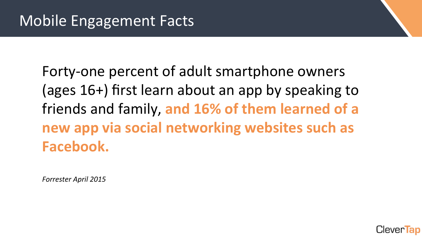Forty-one percent of adult smartphone owners (ages 16+) first learn about an app by speaking to friends and family, and 16% of them learned of a new app via social networking websites such as **Facebook.** 

*Forrester April 2015* 

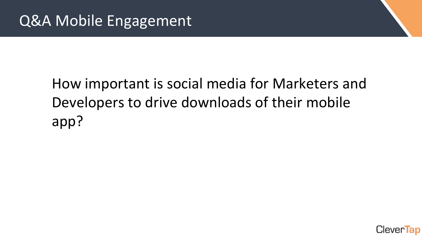## How important is social media for Marketers and Developers to drive downloads of their mobile app?

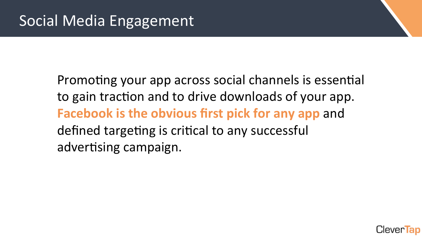Promoting your app across social channels is essential to gain traction and to drive downloads of your app. **Facebook is the obvious first pick for any app and** defined targeting is critical to any successful advertising campaign.

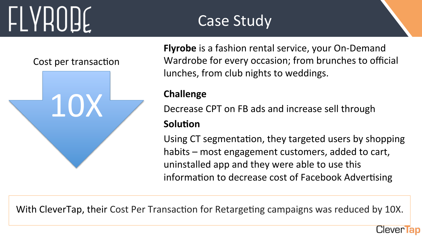## **LLYHUUE**

Cost per transaction



**Flyrobe** is a fashion rental service, your On-Demand Wardrobe for every occasion; from brunches to official lunches, from club nights to weddings.

#### **Challenge**

Decrease CPT on FB ads and increase sell through

Case Study

#### **Solution**

Using CT segmentation, they targeted users by shopping habits – most engagement customers, added to cart, uninstalled app and they were able to use this information to decrease cost of Facebook Advertising

Clever Tap

With CleverTap, their Cost Per Transaction for Retargeting campaigns was reduced by 10X.